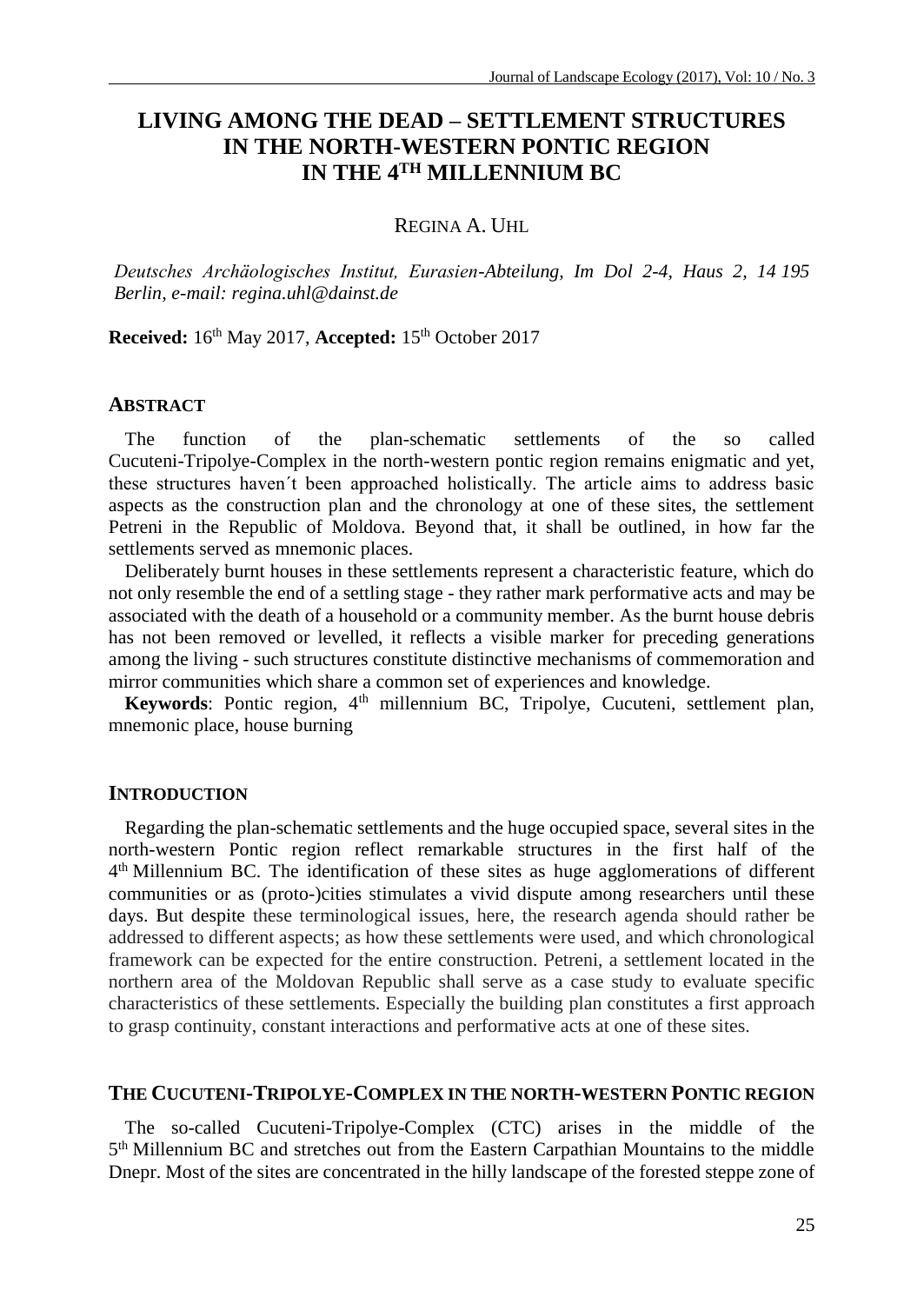# **LIVING AMONG THE DEAD – SETTLEMENT STRUCTURES IN THE NORTH-WESTERN PONTIC REGION IN THE 4TH MILLENNIUM BC**

REGINA A. UHL

*Deutsches Archäologisches Institut, Eurasien-Abteilung, Im Dol 2-4, Haus 2, 14 195 Berlin, e-mail: regina.uhl@dainst.de*

**Received:** 16<sup>th</sup> May 2017, **Accepted:** 15<sup>th</sup> October 2017

## **ABSTRACT**

The function of the plan-schematic settlements of the so called Cucuteni-Tripolye-Complex in the north-western pontic region remains enigmatic and yet, these structures haven´t been approached holistically. The article aims to address basic aspects as the construction plan and the chronology at one of these sites, the settlement Petreni in the Republic of Moldova. Beyond that, it shall be outlined, in how far the settlements served as mnemonic places.

Deliberately burnt houses in these settlements represent a characteristic feature, which do not only resemble the end of a settling stage - they rather mark performative acts and may be associated with the death of a household or a community member. As the burnt house debris has not been removed or levelled, it reflects a visible marker for preceding generations among the living - such structures constitute distinctive mechanisms of commemoration and mirror communities which share a common set of experiences and knowledge.

Keywords: Pontic region, 4<sup>th</sup> millennium BC, Tripolye, Cucuteni, settlement plan, mnemonic place, house burning

#### **INTRODUCTION**

Regarding the plan-schematic settlements and the huge occupied space, several sites in the north-western Pontic region reflect remarkable structures in the first half of the 4<sup>th</sup> Millennium BC. The identification of these sites as huge agglomerations of different communities or as (proto-)cities stimulates a vivid dispute among researchers until these days. But despite these terminological issues, here, the research agenda should rather be addressed to different aspects; as how these settlements were used, and which chronological framework can be expected for the entire construction. Petreni, a settlement located in the northern area of the Moldovan Republic shall serve as a case study to evaluate specific characteristics of these settlements. Especially the building plan constitutes a first approach to grasp continuity, constant interactions and performative acts at one of these sites.

### **THE CUCUTENI-TRIPOLYE-COMPLEX IN THE NORTH-WESTERN PONTIC REGION**

The so-called Cucuteni-Tripolye-Complex (CTC) arises in the middle of the 5<sup>th</sup> Millennium BC and stretches out from the Eastern Carpathian Mountains to the middle Dnepr. Most of the sites are concentrated in the hilly landscape of the forested steppe zone of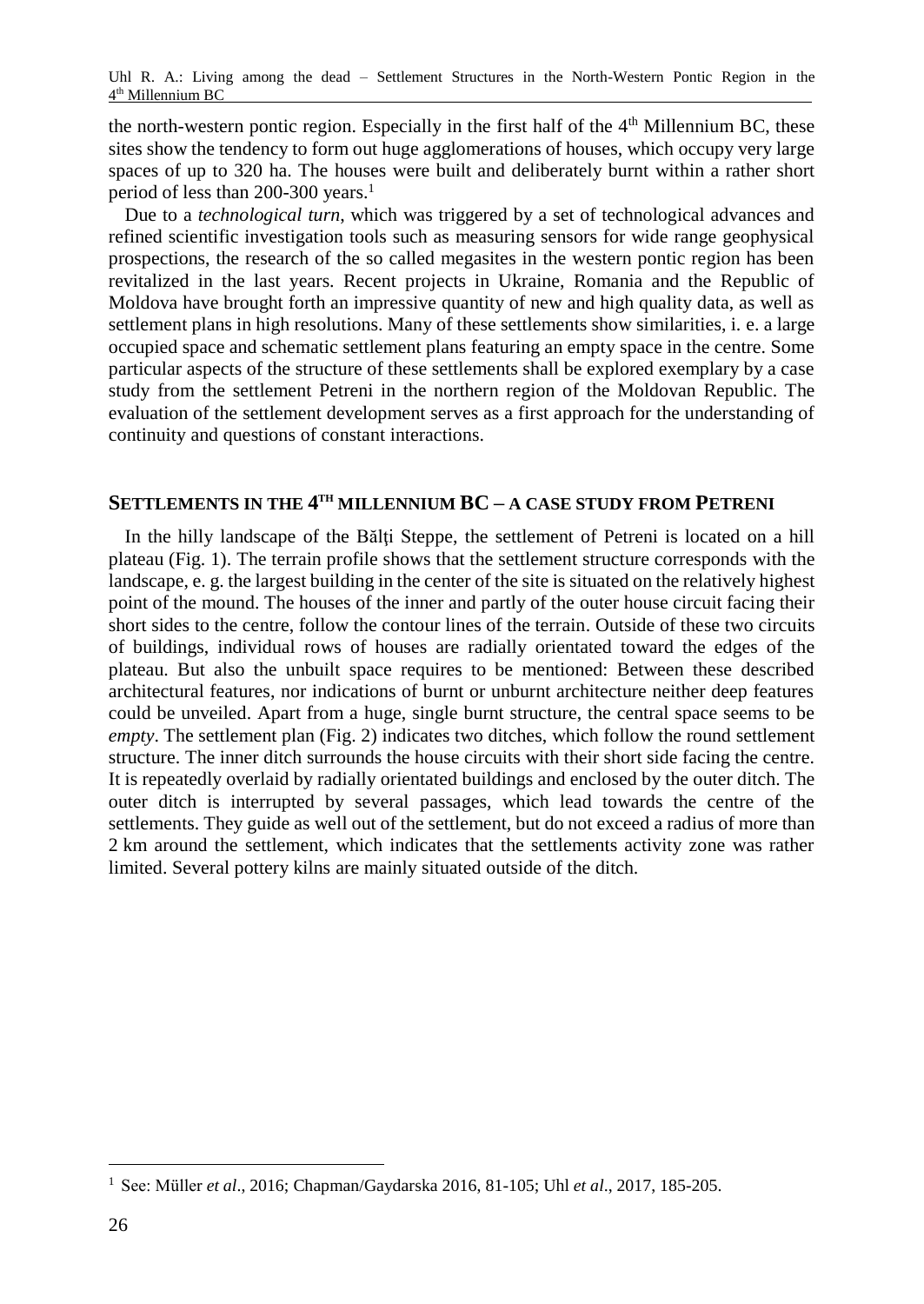the north-western pontic region. Especially in the first half of the  $4<sup>th</sup>$  Millennium BC, these sites show the tendency to form out huge agglomerations of houses, which occupy very large spaces of up to 320 ha. The houses were built and deliberately burnt within a rather short period of less than 200-300 years.<sup>1</sup>

Due to a *technological turn*, which was triggered by a set of technological advances and refined scientific investigation tools such as measuring sensors for wide range geophysical prospections, the research of the so called megasites in the western pontic region has been revitalized in the last years. Recent projects in Ukraine, Romania and the Republic of Moldova have brought forth an impressive quantity of new and high quality data, as well as settlement plans in high resolutions. Many of these settlements show similarities, i. e. a large occupied space and schematic settlement plans featuring an empty space in the centre. Some particular aspects of the structure of these settlements shall be explored exemplary by a case study from the settlement Petreni in the northern region of the Moldovan Republic. The evaluation of the settlement development serves as a first approach for the understanding of continuity and questions of constant interactions.

## **SETTLEMENTS IN THE 4 TH MILLENNIUM BC – A CASE STUDY FROM PETRENI**

In the hilly landscape of the Bălţi Steppe, the settlement of Petreni is located on a hill plateau (Fig. 1). The terrain profile shows that the settlement structure corresponds with the landscape, e. g. the largest building in the center of the site is situated on the relatively highest point of the mound. The houses of the inner and partly of the outer house circuit facing their short sides to the centre, follow the contour lines of the terrain. Outside of these two circuits of buildings, individual rows of houses are radially orientated toward the edges of the plateau. But also the unbuilt space requires to be mentioned: Between these described architectural features, nor indications of burnt or unburnt architecture neither deep features could be unveiled. Apart from a huge, single burnt structure, the central space seems to be *empty*. The settlement plan (Fig. 2) indicates two ditches, which follow the round settlement structure. The inner ditch surrounds the house circuits with their short side facing the centre. It is repeatedly overlaid by radially orientated buildings and enclosed by the outer ditch. The outer ditch is interrupted by several passages, which lead towards the centre of the settlements. They guide as well out of the settlement, but do not exceed a radius of more than 2 km around the settlement, which indicates that the settlements activity zone was rather limited. Several pottery kilns are mainly situated outside of the ditch.

<sup>1</sup> See: Müller *et al*., 2016; Chapman/Gaydarska 2016, 81-105; Uhl *et al*., 2017, 185-205.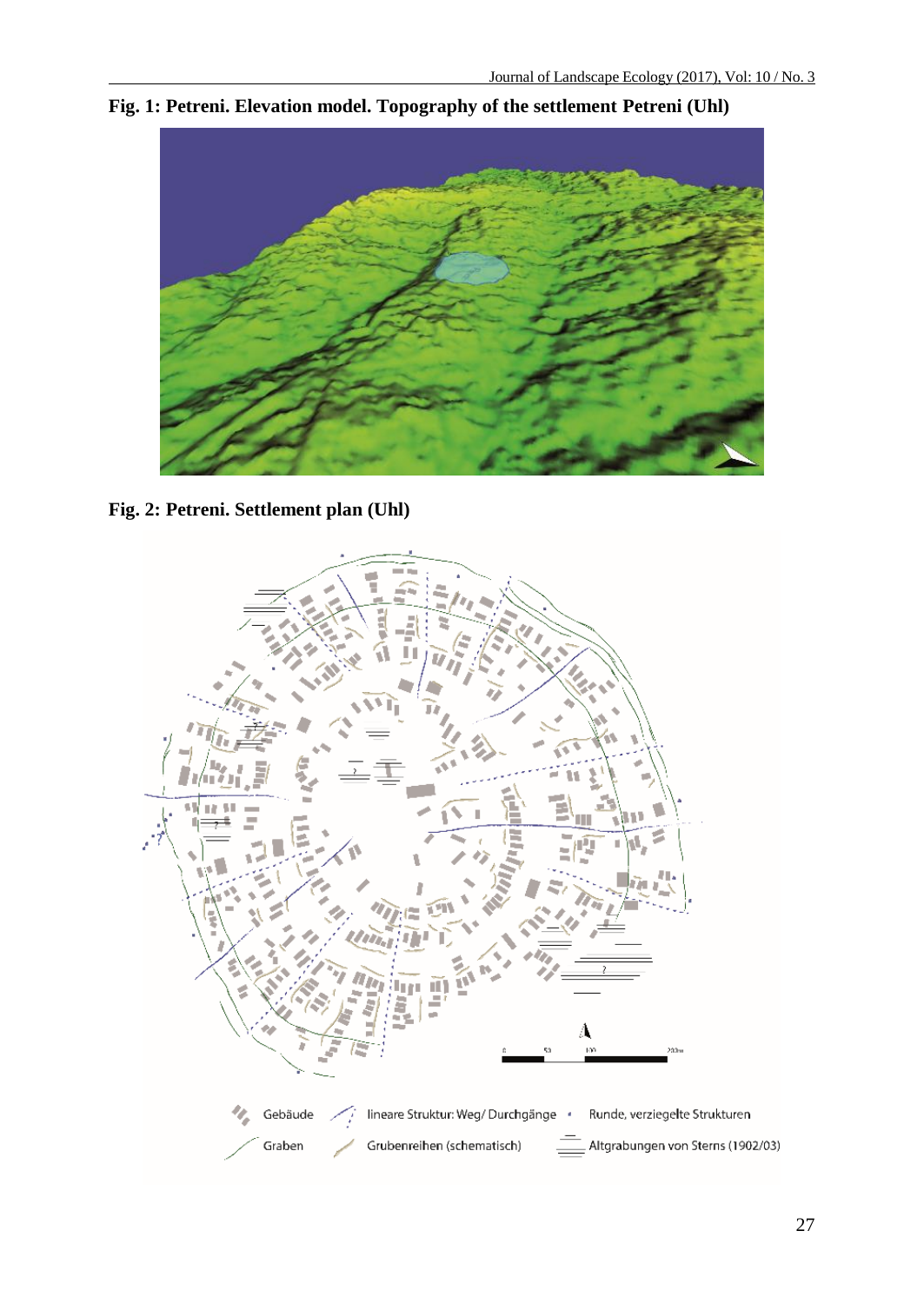

**Fig. 1: Petreni. Elevation model. Topography of the settlement Petreni (Uhl)**

**Fig. 2: Petreni. Settlement plan (Uhl)**

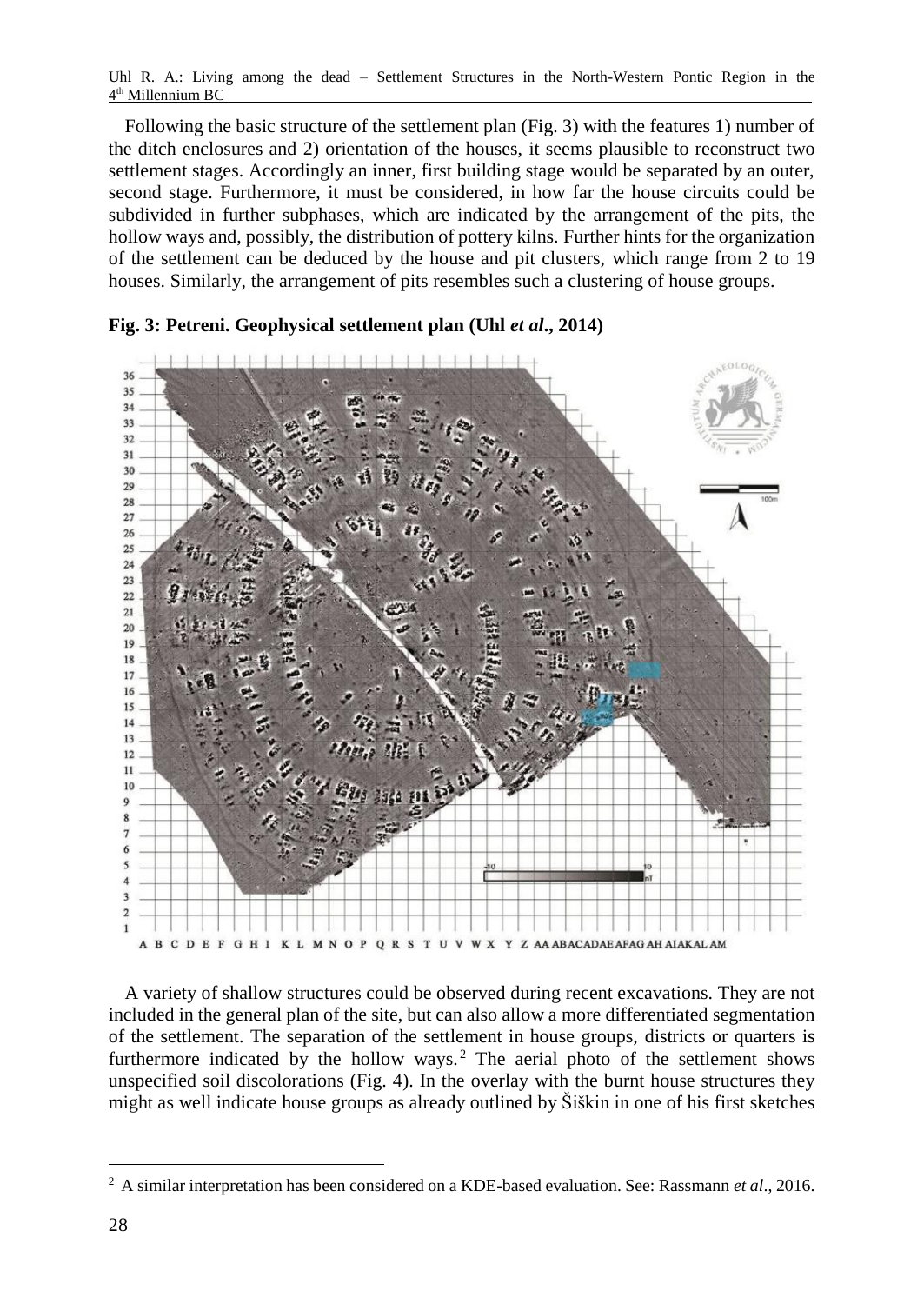Following the basic structure of the settlement plan (Fig. 3) with the features 1) number of the ditch enclosures and 2) orientation of the houses, it seems plausible to reconstruct two settlement stages. Accordingly an inner, first building stage would be separated by an outer, second stage. Furthermore, it must be considered, in how far the house circuits could be subdivided in further subphases, which are indicated by the arrangement of the pits, the hollow ways and, possibly, the distribution of pottery kilns. Further hints for the organization of the settlement can be deduced by the house and pit clusters, which range from 2 to 19 houses. Similarly, the arrangement of pits resembles such a clustering of house groups.



### **Fig. 3: Petreni. Geophysical settlement plan (Uhl** *et al***., 2014)**

A variety of shallow structures could be observed during recent excavations. They are not included in the general plan of the site, but can also allow a more differentiated segmentation of the settlement. The separation of the settlement in house groups, districts or quarters is furthermore indicated by the hollow ways.<sup>2</sup> The aerial photo of the settlement shows unspecified soil discolorations (Fig. 4). In the overlay with the burnt house structures they might as well indicate house groups as already outlined by Šiškin in one of his first sketches

<sup>2</sup> A similar interpretation has been considered on a KDE-based evaluation. See: Rassmann *et al*., 2016.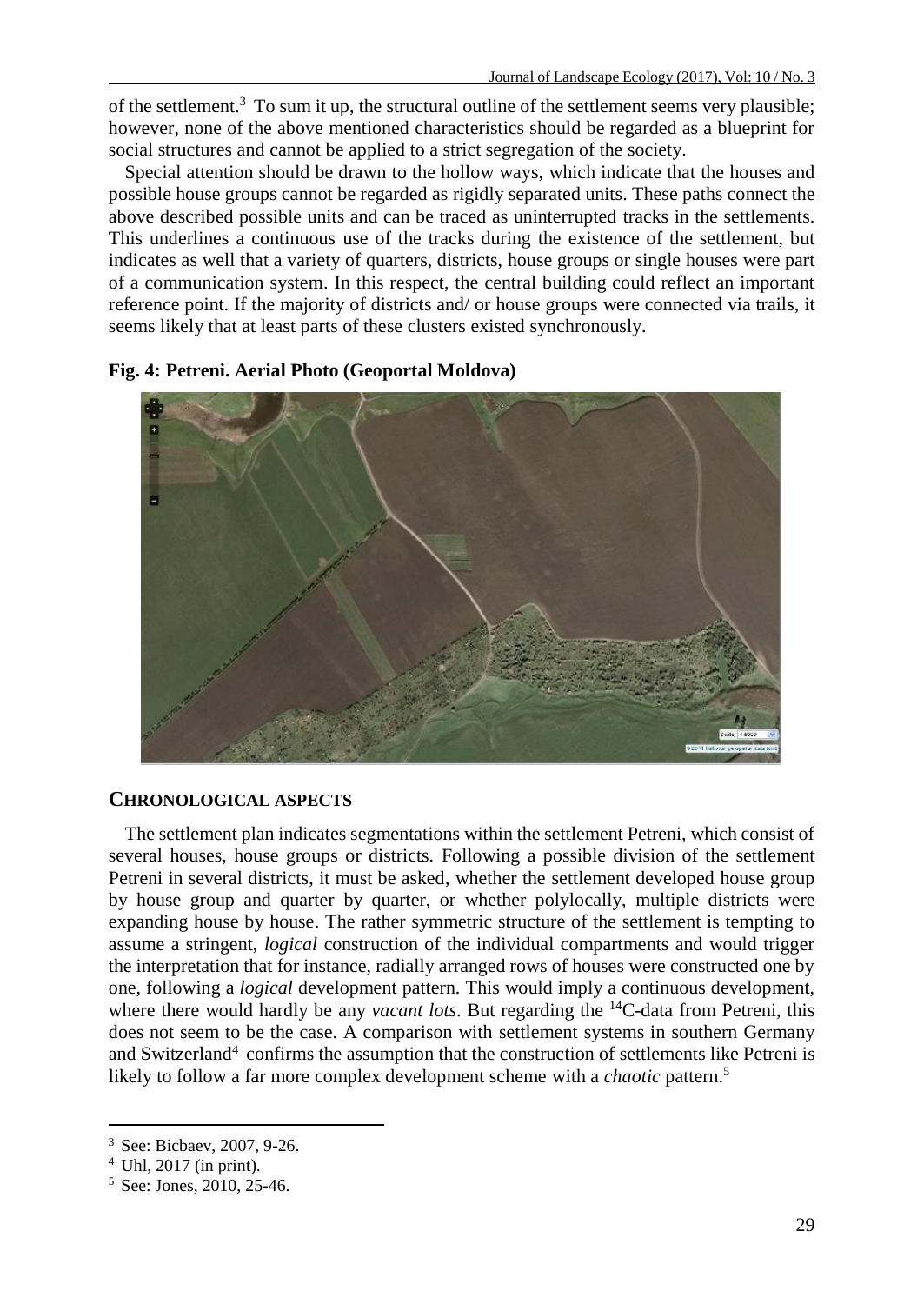of the settlement.<sup>3</sup> To sum it up, the structural outline of the settlement seems very plausible; however, none of the above mentioned characteristics should be regarded as a blueprint for social structures and cannot be applied to a strict segregation of the society.

Special attention should be drawn to the hollow ways, which indicate that the houses and possible house groups cannot be regarded as rigidly separated units. These paths connect the above described possible units and can be traced as uninterrupted tracks in the settlements. This underlines a continuous use of the tracks during the existence of the settlement, but indicates as well that a variety of quarters, districts, house groups or single houses were part of a communication system. In this respect, the central building could reflect an important reference point. If the majority of districts and/ or house groups were connected via trails, it seems likely that at least parts of these clusters existed synchronously.



**Fig. 4: Petreni. Aerial Photo (Geoportal Moldova)**

### **CHRONOLOGICAL ASPECTS**

The settlement plan indicates segmentations within the settlement Petreni, which consist of several houses, house groups or districts. Following a possible division of the settlement Petreni in several districts, it must be asked, whether the settlement developed house group by house group and quarter by quarter, or whether polylocally, multiple districts were expanding house by house. The rather symmetric structure of the settlement is tempting to assume a stringent, *logical* construction of the individual compartments and would trigger the interpretation that for instance, radially arranged rows of houses were constructed one by one, following a *logical* development pattern. This would imply a continuous development, where there would hardly be any *vacant lots*. But regarding the <sup>14</sup>C-data from Petreni, this does not seem to be the case. A comparison with settlement systems in southern Germany and Switzerland<sup>4</sup> confirms the assumption that the construction of settlements like Petreni is likely to follow a far more complex development scheme with a *chaotic* pattern. 5

<sup>3</sup> See: Bicbaev, 2007, 9-26.

<sup>4</sup> Uhl, 2017 (in print).

<sup>5</sup> See: Jones, 2010, 25-46.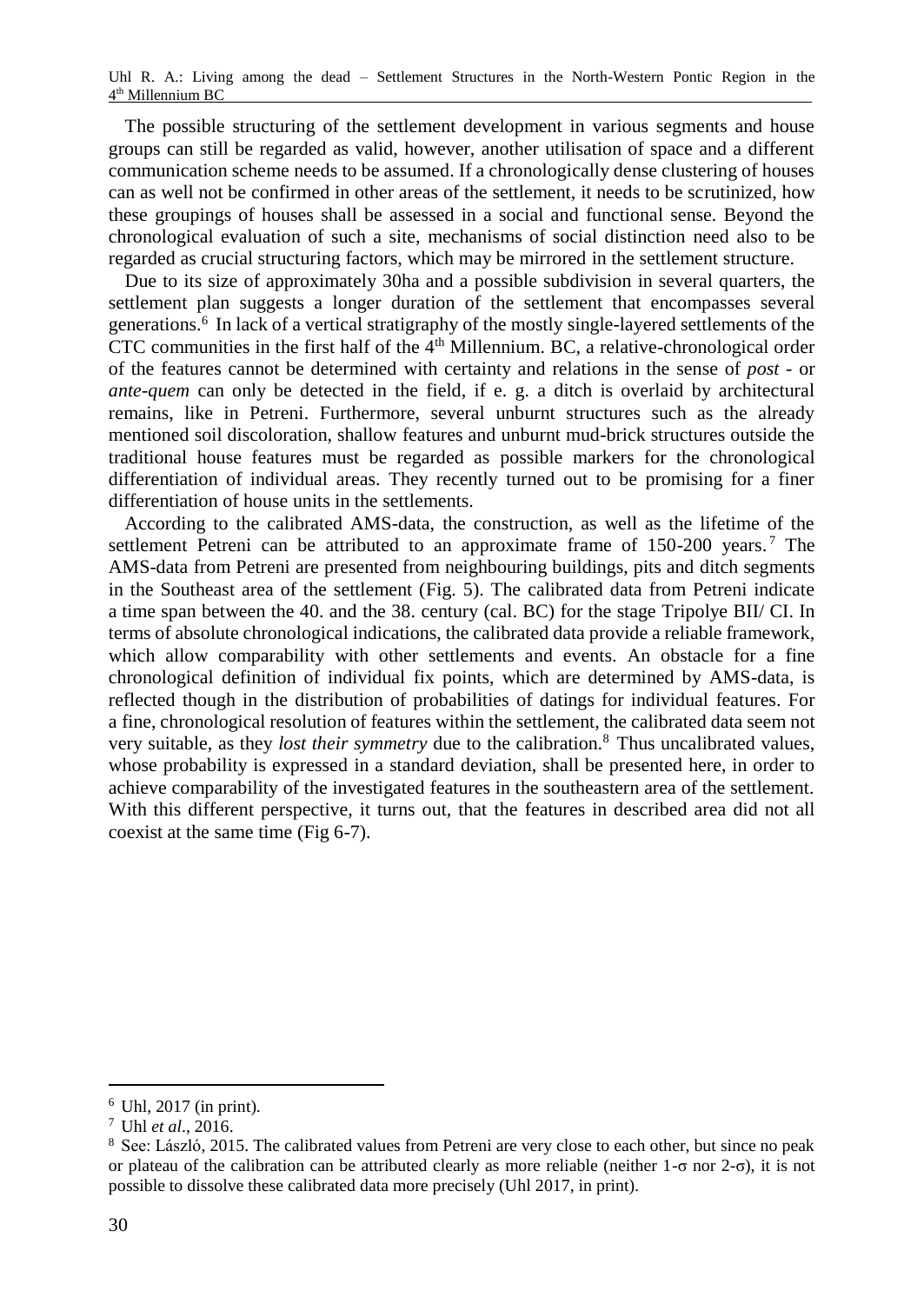The possible structuring of the settlement development in various segments and house groups can still be regarded as valid, however, another utilisation of space and a different communication scheme needs to be assumed. If a chronologically dense clustering of houses can as well not be confirmed in other areas of the settlement, it needs to be scrutinized, how these groupings of houses shall be assessed in a social and functional sense. Beyond the chronological evaluation of such a site, mechanisms of social distinction need also to be regarded as crucial structuring factors, which may be mirrored in the settlement structure.

Due to its size of approximately 30ha and a possible subdivision in several quarters, the settlement plan suggests a longer duration of the settlement that encompasses several generations. 6 In lack of a vertical stratigraphy of the mostly single-layered settlements of the CTC communities in the first half of the  $4<sup>th</sup>$  Millennium. BC, a relative-chronological order of the features cannot be determined with certainty and relations in the sense of *post* - or *ante-quem* can only be detected in the field, if e. g. a ditch is overlaid by architectural remains, like in Petreni. Furthermore, several unburnt structures such as the already mentioned soil discoloration, shallow features and unburnt mud-brick structures outside the traditional house features must be regarded as possible markers for the chronological differentiation of individual areas. They recently turned out to be promising for a finer differentiation of house units in the settlements.

According to the calibrated AMS-data, the construction, as well as the lifetime of the settlement Petreni can be attributed to an approximate frame of 150-200 years.<sup>7</sup> The AMS-data from Petreni are presented from neighbouring buildings, pits and ditch segments in the Southeast area of the settlement (Fig. 5). The calibrated data from Petreni indicate a time span between the 40. and the 38. century (cal. BC) for the stage Tripolye BII/ CI. In terms of absolute chronological indications, the calibrated data provide a reliable framework, which allow comparability with other settlements and events. An obstacle for a fine chronological definition of individual fix points, which are determined by AMS-data, is reflected though in the distribution of probabilities of datings for individual features. For a fine, chronological resolution of features within the settlement, the calibrated data seem not very suitable, as they *lost their symmetry* due to the calibration.<sup>8</sup> Thus uncalibrated values, whose probability is expressed in a standard deviation, shall be presented here, in order to achieve comparability of the investigated features in the southeastern area of the settlement. With this different perspective, it turns out, that the features in described area did not all coexist at the same time (Fig 6-7).

 $6$  Uhl, 2017 (in print).

<sup>7</sup> Uhl *et al*., 2016.

<sup>8</sup> See: László, 2015. The calibrated values from Petreni are very close to each other, but since no peak or plateau of the calibration can be attributed clearly as more reliable (neither 1-σ nor 2-σ), it is not possible to dissolve these calibrated data more precisely (Uhl 2017, in print).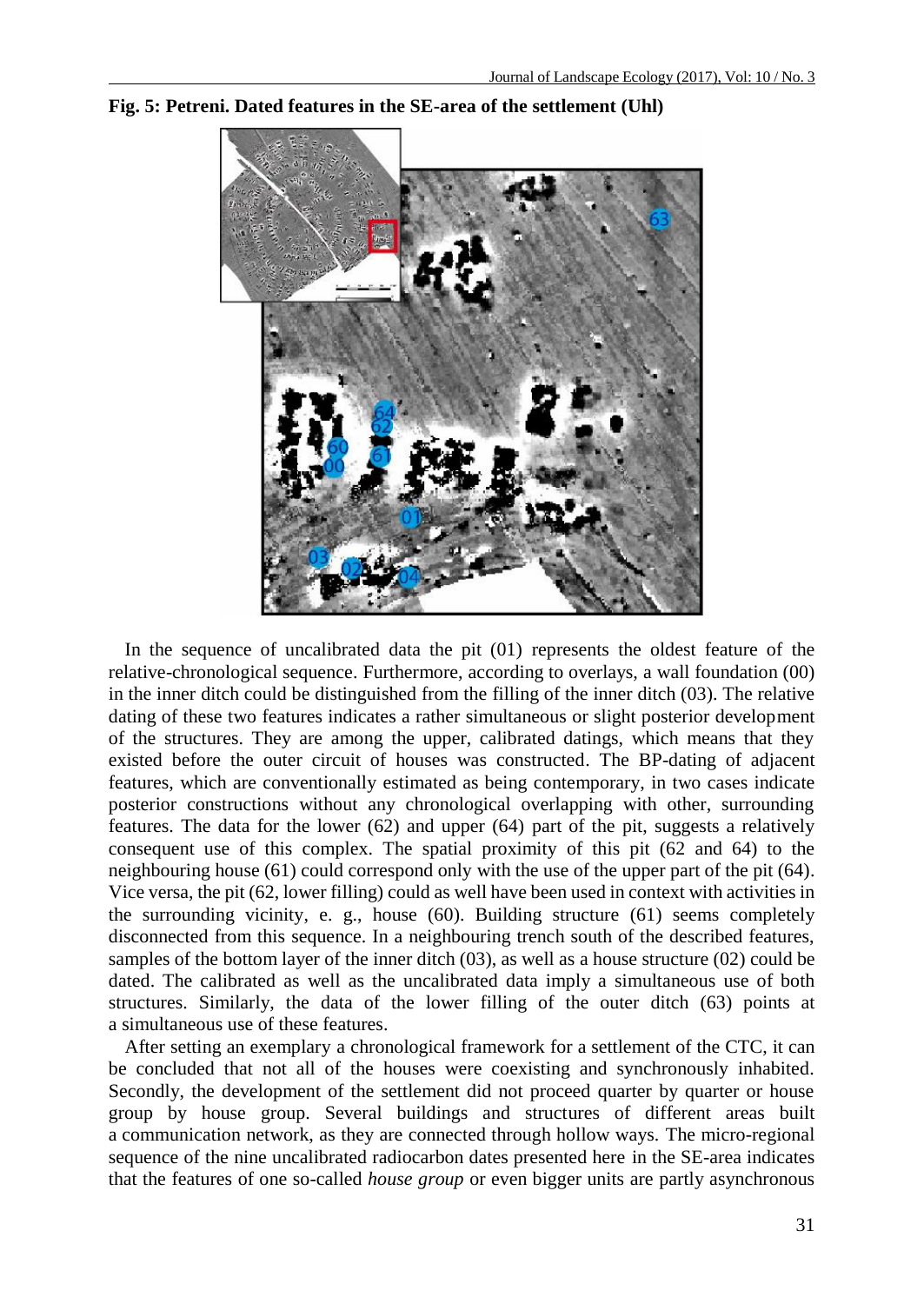

#### **Fig. 5: Petreni. Dated features in the SE-area of the settlement (Uhl)**

In the sequence of uncalibrated data the pit (01) represents the oldest feature of the relative-chronological sequence. Furthermore, according to overlays, a wall foundation (00) in the inner ditch could be distinguished from the filling of the inner ditch (03). The relative dating of these two features indicates a rather simultaneous or slight posterior development of the structures. They are among the upper, calibrated datings, which means that they existed before the outer circuit of houses was constructed. The BP-dating of adjacent features, which are conventionally estimated as being contemporary, in two cases indicate posterior constructions without any chronological overlapping with other, surrounding features. The data for the lower (62) and upper (64) part of the pit, suggests a relatively consequent use of this complex. The spatial proximity of this pit (62 and 64) to the neighbouring house (61) could correspond only with the use of the upper part of the pit (64). Vice versa, the pit (62, lower filling) could as well have been used in context with activities in the surrounding vicinity, e. g., house (60). Building structure (61) seems completely disconnected from this sequence. In a neighbouring trench south of the described features, samples of the bottom layer of the inner ditch (03), as well as a house structure (02) could be dated. The calibrated as well as the uncalibrated data imply a simultaneous use of both structures. Similarly, the data of the lower filling of the outer ditch (63) points at a simultaneous use of these features.

After setting an exemplary a chronological framework for a settlement of the CTC, it can be concluded that not all of the houses were coexisting and synchronously inhabited. Secondly, the development of the settlement did not proceed quarter by quarter or house group by house group. Several buildings and structures of different areas built a communication network, as they are connected through hollow ways. The micro-regional sequence of the nine uncalibrated radiocarbon dates presented here in the SE-area indicates that the features of one so-called *house group* or even bigger units are partly asynchronous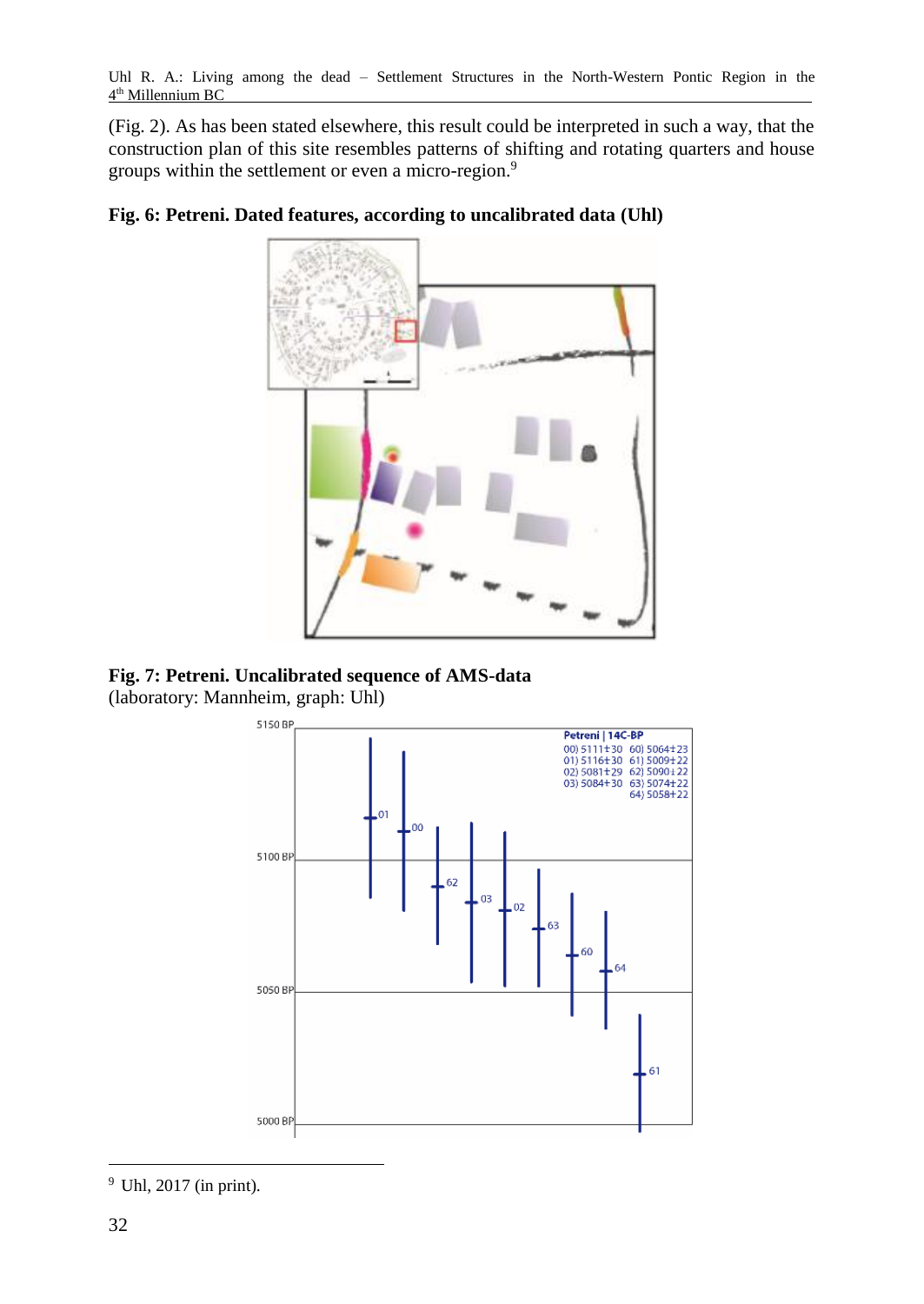(Fig. 2). As has been stated elsewhere, this result could be interpreted in such a way, that the construction plan of this site resembles patterns of shifting and rotating quarters and house groups within the settlement or even a micro-region.<sup>9</sup>



# **Fig. 6: Petreni. Dated features, according to uncalibrated data (Uhl)**

**Fig. 7: Petreni. Uncalibrated sequence of AMS-data** (laboratory: Mannheim, graph: Uhl)



 $\overline{a}$ <sup>9</sup> Uhl, 2017 (in print).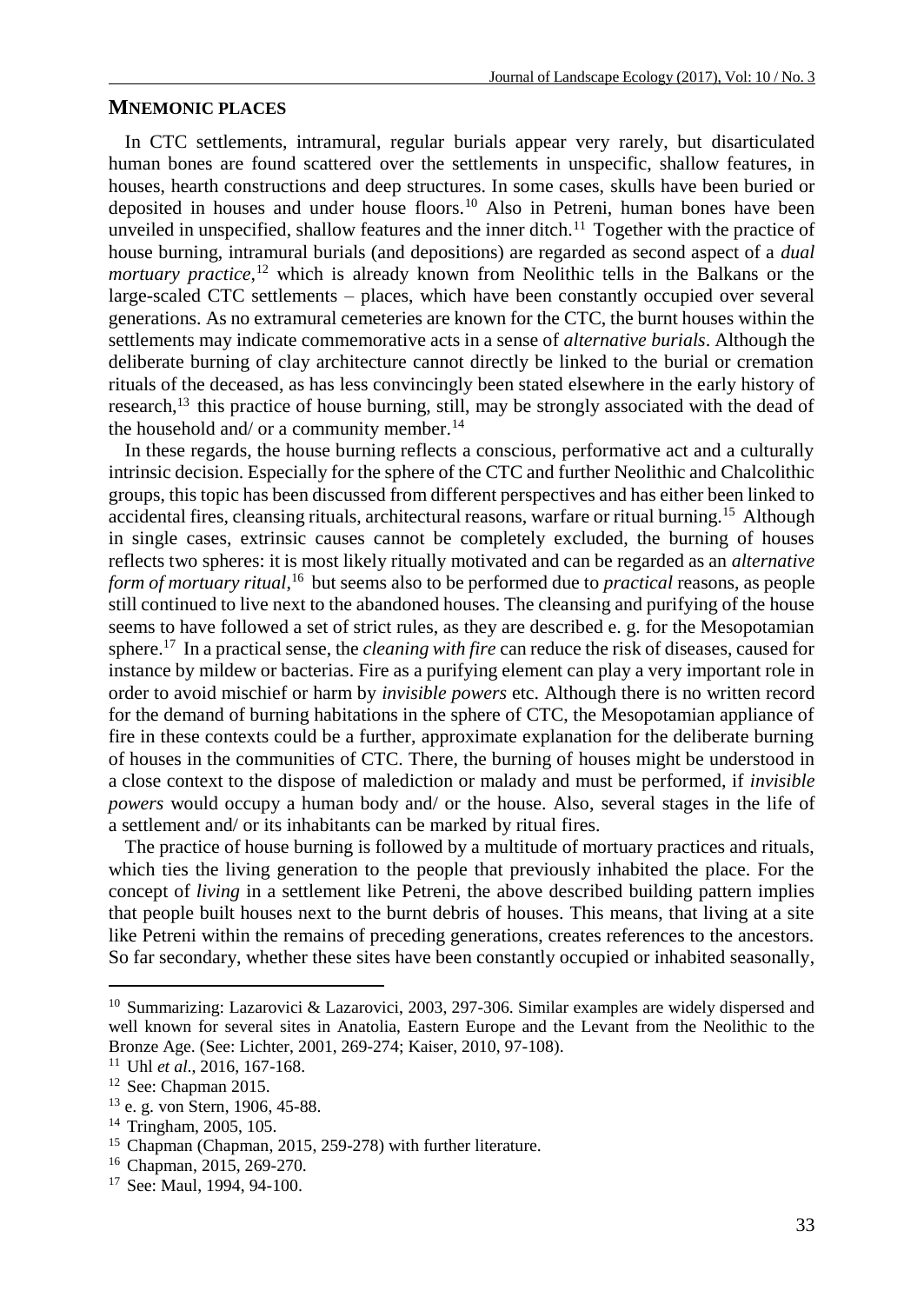#### **MNEMONIC PLACES**

In CTC settlements, intramural, regular burials appear very rarely, but disarticulated human bones are found scattered over the settlements in unspecific, shallow features, in houses, hearth constructions and deep structures. In some cases, skulls have been buried or deposited in houses and under house floors.<sup>10</sup> Also in Petreni, human bones have been unveiled in unspecified, shallow features and the inner ditch.<sup>11</sup> Together with the practice of house burning, intramural burials (and depositions) are regarded as second aspect of a *dual mortuary practice*, <sup>12</sup> which is already known from Neolithic tells in the Balkans or the large-scaled CTC settlements – places, which have been constantly occupied over several generations. As no extramural cemeteries are known for the CTC, the burnt houses within the settlements may indicate commemorative acts in a sense of *alternative burials*. Although the deliberate burning of clay architecture cannot directly be linked to the burial or cremation rituals of the deceased, as has less convincingly been stated elsewhere in the early history of research, $13$  this practice of house burning, still, may be strongly associated with the dead of the household and/ or a community member.<sup>14</sup>

In these regards, the house burning reflects a conscious, performative act and a culturally intrinsic decision. Especially for the sphere of the CTC and further Neolithic and Chalcolithic groups, this topic has been discussed from different perspectives and has either been linked to accidental fires, cleansing rituals, architectural reasons, warfare or ritual burning.<sup>15</sup> Although in single cases, extrinsic causes cannot be completely excluded, the burning of houses reflects two spheres: it is most likely ritually motivated and can be regarded as an *alternative form of mortuary ritual*, <sup>16</sup> but seems also to be performed due to *practical* reasons, as people still continued to live next to the abandoned houses. The cleansing and purifying of the house seems to have followed a set of strict rules, as they are described e. g. for the Mesopotamian sphere.<sup>17</sup> In a practical sense, the *cleaning with fire* can reduce the risk of diseases, caused for instance by mildew or bacterias. Fire as a purifying element can play a very important role in order to avoid mischief or harm by *invisible powers* etc. Although there is no written record for the demand of burning habitations in the sphere of CTC, the Mesopotamian appliance of fire in these contexts could be a further, approximate explanation for the deliberate burning of houses in the communities of CTC. There, the burning of houses might be understood in a close context to the dispose of malediction or malady and must be performed, if *invisible powers* would occupy a human body and/ or the house. Also, several stages in the life of a settlement and/ or its inhabitants can be marked by ritual fires.

The practice of house burning is followed by a multitude of mortuary practices and rituals, which ties the living generation to the people that previously inhabited the place. For the concept of *living* in a settlement like Petreni, the above described building pattern implies that people built houses next to the burnt debris of houses. This means, that living at a site like Petreni within the remains of preceding generations, creates references to the ancestors. So far secondary, whether these sites have been constantly occupied or inhabited seasonally,

<sup>10</sup> Summarizing: Lazarovici & Lazarovici, 2003, 297-306. Similar examples are widely dispersed and well known for several sites in Anatolia, Eastern Europe and the Levant from the Neolithic to the Bronze Age. (See: Lichter, 2001, 269-274; Kaiser, 2010, 97-108).

<sup>11</sup> Uhl *et al*., 2016, 167-168.

<sup>12</sup> See: Chapman 2015.

<sup>13</sup> e. g. von Stern, 1906, 45-88.

<sup>14</sup> Tringham, 2005, 105.

<sup>&</sup>lt;sup>15</sup> Chapman (Chapman, 2015, 259-278) with further literature.

<sup>16</sup> Chapman, 2015, 269-270.

<sup>17</sup> See: Maul, 1994, 94-100.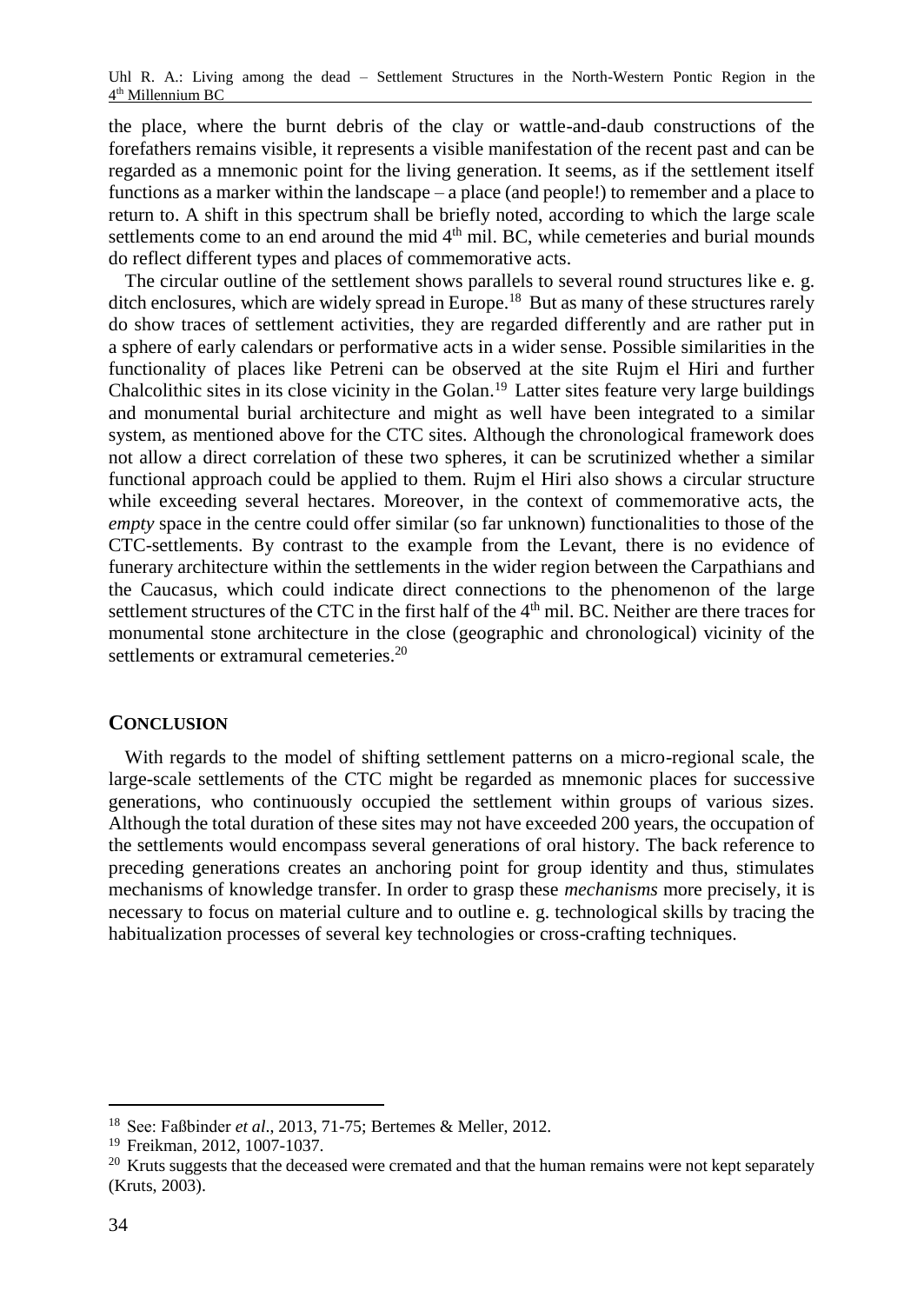the place, where the burnt debris of the clay or wattle-and-daub constructions of the forefathers remains visible, it represents a visible manifestation of the recent past and can be regarded as a mnemonic point for the living generation. It seems, as if the settlement itself functions as a marker within the landscape – a place (and people!) to remember and a place to return to. A shift in this spectrum shall be briefly noted, according to which the large scale settlements come to an end around the mid  $4<sup>th</sup>$  mil. BC, while cemeteries and burial mounds do reflect different types and places of commemorative acts.

The circular outline of the settlement shows parallels to several round structures like e. g. ditch enclosures, which are widely spread in Europe.<sup>18</sup> But as many of these structures rarely do show traces of settlement activities, they are regarded differently and are rather put in a sphere of early calendars or performative acts in a wider sense. Possible similarities in the functionality of places like Petreni can be observed at the site Rujm el Hiri and further Chalcolithic sites in its close vicinity in the Golan. <sup>19</sup> Latter sites feature very large buildings and monumental burial architecture and might as well have been integrated to a similar system, as mentioned above for the CTC sites. Although the chronological framework does not allow a direct correlation of these two spheres, it can be scrutinized whether a similar functional approach could be applied to them. Rujm el Hiri also shows a circular structure while exceeding several hectares. Moreover, in the context of commemorative acts, the *empty* space in the centre could offer similar (so far unknown) functionalities to those of the CTC-settlements. By contrast to the example from the Levant, there is no evidence of funerary architecture within the settlements in the wider region between the Carpathians and the Caucasus, which could indicate direct connections to the phenomenon of the large settlement structures of the CTC in the first half of the 4<sup>th</sup> mil. BC. Neither are there traces for monumental stone architecture in the close (geographic and chronological) vicinity of the settlements or extramural cemeteries.<sup>20</sup>

# **CONCLUSION**

With regards to the model of shifting settlement patterns on a micro-regional scale, the large-scale settlements of the CTC might be regarded as mnemonic places for successive generations, who continuously occupied the settlement within groups of various sizes. Although the total duration of these sites may not have exceeded 200 years, the occupation of the settlements would encompass several generations of oral history. The back reference to preceding generations creates an anchoring point for group identity and thus, stimulates mechanisms of knowledge transfer. In order to grasp these *mechanisms* more precisely, it is necessary to focus on material culture and to outline e. g. technological skills by tracing the habitualization processes of several key technologies or cross-crafting techniques.

l

<sup>18</sup> See: Faßbinder *et al*., 2013, 71-75; Bertemes & Meller, 2012.

<sup>19</sup> Freikman, 2012, 1007-1037.

<sup>&</sup>lt;sup>20</sup> Kruts suggests that the deceased were cremated and that the human remains were not kept separately (Kruts, 2003).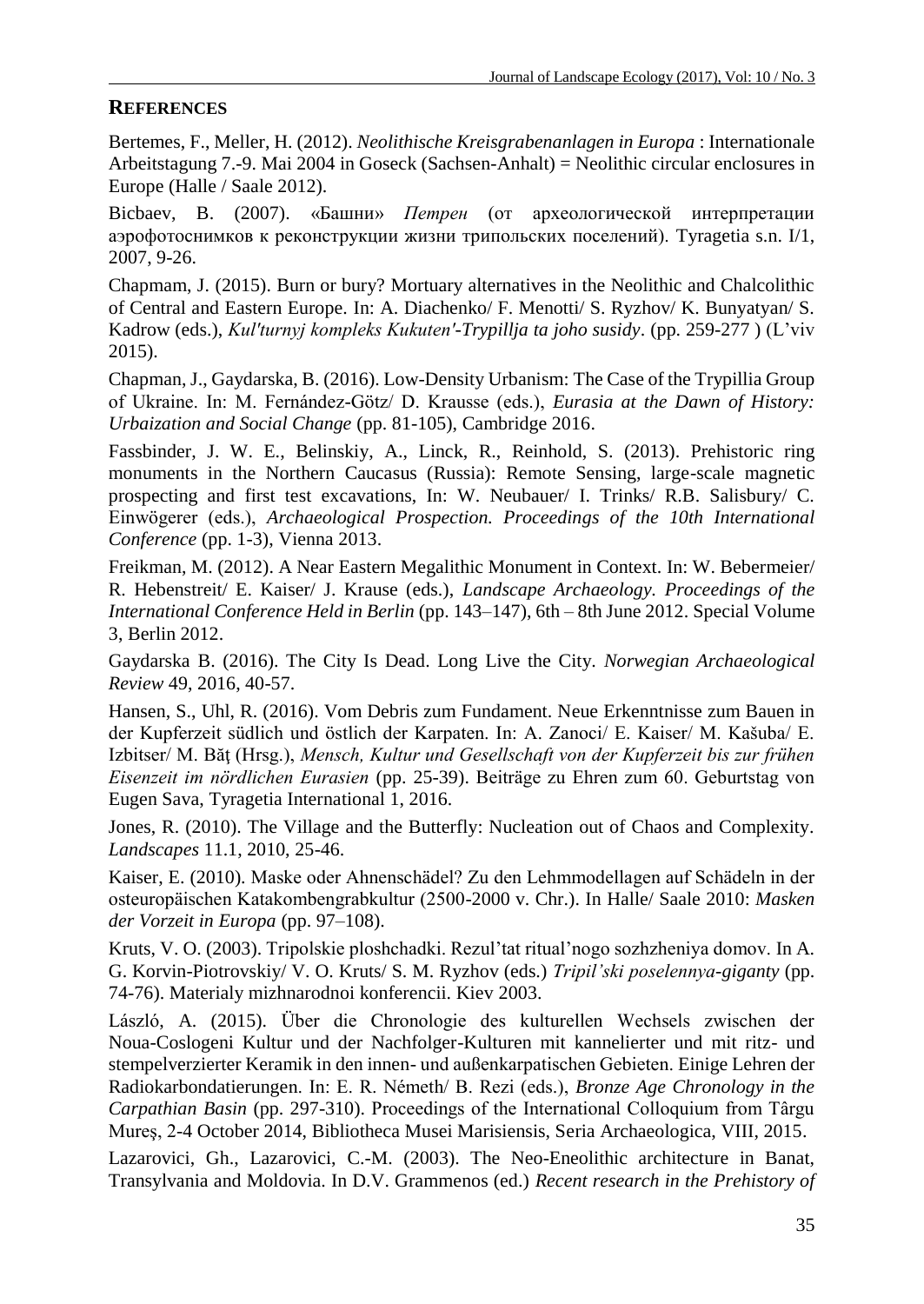# **REFERENCES**

Bertemes, F., Meller, H. (2012). *Neolithische Kreisgrabenanlagen in Europa* : Internationale Arbeitstagung 7.-9. Mai 2004 in Goseck (Sachsen-Anhalt) = Neolithic circular enclosures in Europe (Halle / Saale 2012).

Bicbaev, B. (2007). «Башни» *Петрен* (от археологической интерпретации аэрофотоснимков к реконструкции жизни трипольских поселений). Tyragetia s.n. I/1, 2007, 9-26.

Chapmam, J. (2015). Burn or bury? Mortuary alternatives in the Neolithic and Chalcolithic of Central and Eastern Europe. In: A. Diachenko/ F. Menotti/ S. Ryzhov/ K. Bunyatyan/ S. Kadrow (eds.), *[Kulʹturnyj kompleks Kukutenʹ-Trypillja ta joho susidy](https://zenon.dainst.org/Record/001447780)*. (pp. 259-277 ) (L'viv 2015).

Chapman, J., Gaydarska, B. (2016). Low-Density Urbanism: The Case of the Trypillia Group of Ukraine. In: M. Fernández-Götz/ D. Krausse (eds.), *Eurasia at the Dawn of History: Urbaization and Social Change* (pp. 81-105), Cambridge 2016.

Fassbinder, J. W. E., Belinskiy, A., Linck, R., Reinhold, S. (2013). Prehistoric ring monuments in the Northern Caucasus (Russia): Remote Sensing, large-scale magnetic prospecting and first test excavations, In: W. Neubauer/ I. Trinks/ R.B. Salisbury/ C. Einwögerer (eds.), *Archaeological Prospection. Proceedings of the 10th International Conference* (pp. 1-3), Vienna 2013.

Freikman, M. (2012). A Near Eastern Megalithic Monument in Context. In: W. Bebermeier/ R. Hebenstreit/ E. Kaiser/ J. Krause (eds.), *Landscape Archaeology. Proceedings of the International Conference Held in Berlin* (pp. 143–147), 6th – 8th June 2012. Special Volume 3, Berlin 2012.

Gaydarska B. (2016). The City Is Dead. Long Live the City. *Norwegian Archaeological Review* 49, 2016, 40-57.

Hansen, S., Uhl, R. (2016). Vom Debris zum Fundament. Neue Erkenntnisse zum Bauen in der Kupferzeit südlich und östlich der Karpaten. In: A. Zanoci/ E. Kaiser/ M. Kašuba/ E. Izbitser/ M. Băţ (Hrsg.), *Mensch, Kultur und Gesellschaft von der Kupferzeit bis zur frühen Eisenzeit im nördlichen Eurasien* (pp. 25-39). Beiträge zu Ehren zum 60. Geburtstag von Eugen Sava, Tyragetia International 1, 2016.

Jones, R. (2010). The Village and the Butterfly: Nucleation out of Chaos and Complexity. *Landscapes* 11.1, 2010, 25-46.

Kaiser, E. (2010). Maske oder Ahnenschädel? Zu den Lehmmodellagen auf Schädeln in der osteuropäischen Katakombengrabkultur (2500-2000 v. Chr.). In Halle/ Saale 2010: *Masken der Vorzeit in Europa* (pp. 97–108).

Kruts, V. O. (2003). Tripolskie ploshchadki. Rezul'tat ritual'nogo sozhzheniya domov. In A. G. Korvin-Piotrovskiy/ V. O. Kruts/ S. M. Ryzhov (eds.) *Tripil'ski poselennya-giganty* (pp. 74-76). Materialy mizhnarodnoi konferencii. Kiev 2003.

László, A. (2015). Über die Chronologie des kulturellen Wechsels zwischen der Noua-Coslogeni Kultur und der Nachfolger-Kulturen mit kannelierter und mit ritz- und stempelverzierter Keramik in den innen- und außenkarpatischen Gebieten. Einige Lehren der Radiokarbondatierungen. In: E. R. Németh/ B. Rezi (eds.), *Bronze Age Chronology in the Carpathian Basin* (pp. 297-310). Proceedings of the International Colloquium from Târgu Mureş, 2-4 October 2014, Bibliotheca Musei Marisiensis, Seria Archaeologica, VIII, 2015.

Lazarovici, Gh., Lazarovici, C.-M. (2003). The Neo-Eneolithic architecture in Banat, Transylvania and Moldovia. In D.V. Grammenos (ed.) *Recent research in the Prehistory of*